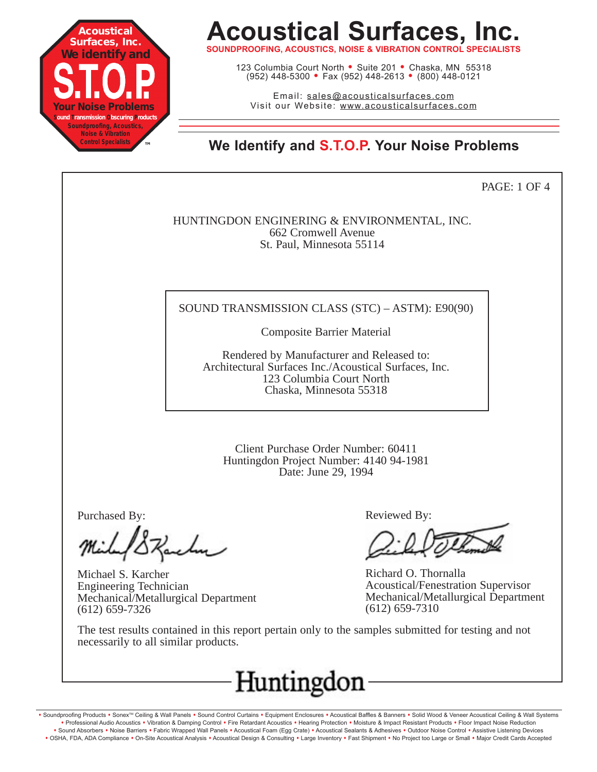

**SOUNDPROOFING, ACOUSTICS, NOISE & VIBRATION CONTROL SPECIALISTS**

123 Columbia Court North • Suite 201 • Chaska, MN 55318 (952) 448-5300 <sup>=</sup> Fax (952) 448-2613 <sup>=</sup> (800) 448-0121

Email: sales@acousticalsurfaces.com Visit our Website: www.acousticalsurfaces.com

**™ We Identify and S.T.O.P. Your Noise Problems**

PAGE: 1 OF 4

HUNTINGDON ENGINERING & ENVIRONMENTAL, INC. 662 Cromwell Avenue St. Paul, Minnesota 55114

#### SOUND TRANSMISSION CLASS (STC) – ASTM): E90(90)

Composite Barrier Material

Rendered by Manufacturer and Released to: Architectural Surfaces Inc./Acoustical Surfaces, Inc. 123 Columbia Court North Chaska, Minnesota 55318

Client Purchase Order Number: 60411 Huntingdon Project Number: 4140 94-1981 Date: June 29, 1994

Purchased By:

Michael S. Karcher Engineering Technician Mechanical/Metallurgical Department (612) 659-7326

Reviewed By:

Richard O. Thornalla Acoustical/Fenestration Supervisor Mechanical/Metallurgical Department (612) 659-7310

The test results contained in this report pertain only to the samples submitted for testing and not necessarily to all similar products.



. Soundproofing Products . Sonex™ Ceiling & Wall Panels . Sound Control Curtains . Equipment Enclosures . Acoustical Baffles & Banners . Solid Wood & Veneer Acoustical Ceiling & Wall Systems **•** Professional Audio Acoustics **•** Vibration & Damping Control **•** Fire Retardant Acoustics **•** Hearing Protection **•** Moisture & Impact Resistant Products **•** Floor Impact Noise Reduction · Sound Absorbers · Noise Barriers · Fabric Wrapped Wall Panels · Acoustical Foam (Egg Crate) · Acoustical Sealants & Adhesives · Outdoor Noise Control · Assistive Listening Devices . OSHA, FDA, ADA Compliance . On-Site Acoustical Analysis . Acoustical Design & Consulting . Large Inventory . Fast Shipment . No Project too Large or Small . Major Credit Cards Accepted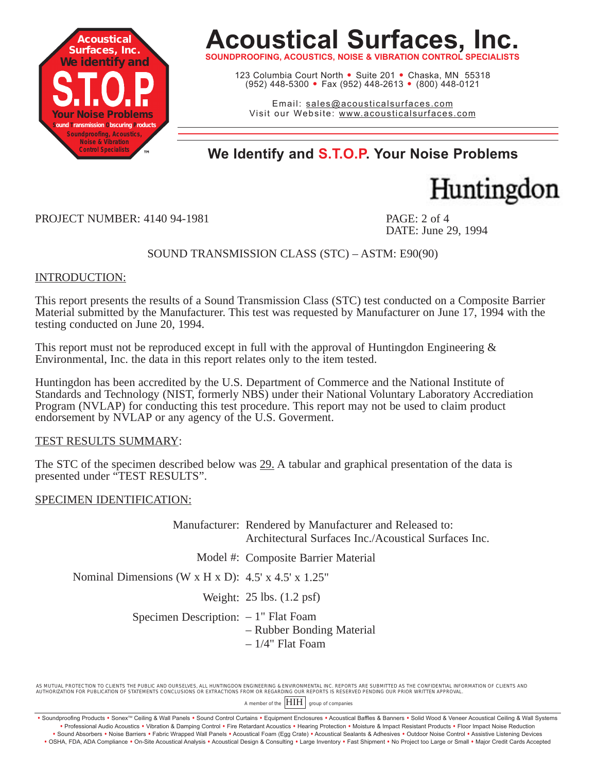

**SOUNDPROOFING, ACOUSTICS, NOISE & VIBRATION CONTROL SPECIALISTS**

123 Columbia Court North · Suite 201 · Chaska, MN 55318 (952) 448-5300 <sup>=</sup> Fax (952) 448-2613 <sup>=</sup> (800) 448-0121

Email: sales@acousticalsurfaces.com Visit our Website: www.acousticalsurfaces.com

### **™ We Identify and S.T.O.P. Your Noise Problems**



PROJECT NUMBER: 4140 94-1981 PAGE: 2 of 4

DATE: June 29, 1994

SOUND TRANSMISSION CLASS (STC) – ASTM: E90(90)

#### INTRODUCTION:

This report presents the results of a Sound Transmission Class (STC) test conducted on a Composite Barrier Material submitted by the Manufacturer. This test was requested by Manufacturer on June 17, 1994 with the testing conducted on June 20, 1994.

This report must not be reproduced except in full with the approval of Huntingdon Engineering  $\&$ Environmental, Inc. the data in this report relates only to the item tested.

Huntingdon has been accredited by the U.S. Department of Commerce and the National Institute of Standards and Technology (NIST, formerly NBS) under their National Voluntary Laboratory Accrediation Program (NVLAP) for conducting this test procedure. This report may not be used to claim product endorsement by NVLAP or any agency of the U.S. Goverment.

#### TEST RESULTS SUMMARY:

The STC of the specimen described below was 29. A tabular and graphical presentation of the data is presented under "TEST RESULTS".

#### SPECIMEN IDENTIFICATION:

Manufacturer: Rendered by Manufacturer and Released to: Architectural Surfaces Inc./Acoustical Surfaces Inc.

Model #: Composite Barrier Material

Nominal Dimensions (W x H x D):  $4.5'$  x  $4.5'$  x  $1.25''$ 

Weight: 25 lbs. (1.2 psf)

Specimen Description:  $-1$ " Flat Foam – Rubber Bonding Material

– 1/4" Flat Foam

AS MUTUAL PROTECTION TO CLIENTS THE PUBLIC AND OURSELVES, ALL HUNTINGDON ENGINEERING & ENVIRONMENTAL INC. REPORTS ARE SUBMITTED AS THE CONFIDENTIAL INFORMATION OF CLIENTS AND AUTHORIZATION FOR PUBLICATION OF STATEMENTS CONCLUSIONS OR EXTRACTIONS FROM OR REGARDING OUR REPORTS IS RESERVED PENDING OUR PRIOR WRITTEN APPROVAL.

A member of the  $\left|\text{HH}\right|$  group of companies

Soundproofing Products • Sonex™ Ceiling & Wall Panels • Sound Control Curtains • Equipment Enclosures • Acoustical Baffles & Banners • Solid Wood & Veneer Acoustical Ceiling & Wall Systems **•** Professional Audio Acoustics **•** Vibration & Damping Control **•** Fire Retardant Acoustics **•** Hearing Protection **•** Moisture & Impact Resistant Products **•** Floor Impact Noise Reduction · Sound Absorbers · Noise Barriers · Fabric Wrapped Wall Panels · Acoustical Foam (Egg Crate) · Acoustical Sealants & Adhesives · Outdoor Noise Control · Assistive Listening Devices

<sup>.</sup> OSHA, FDA, ADA Compliance . On-Site Acoustical Analysis . Acoustical Design & Consulting . Large Inventory . Fast Shipment . No Project too Large or Small . Major Credit Cards Accepted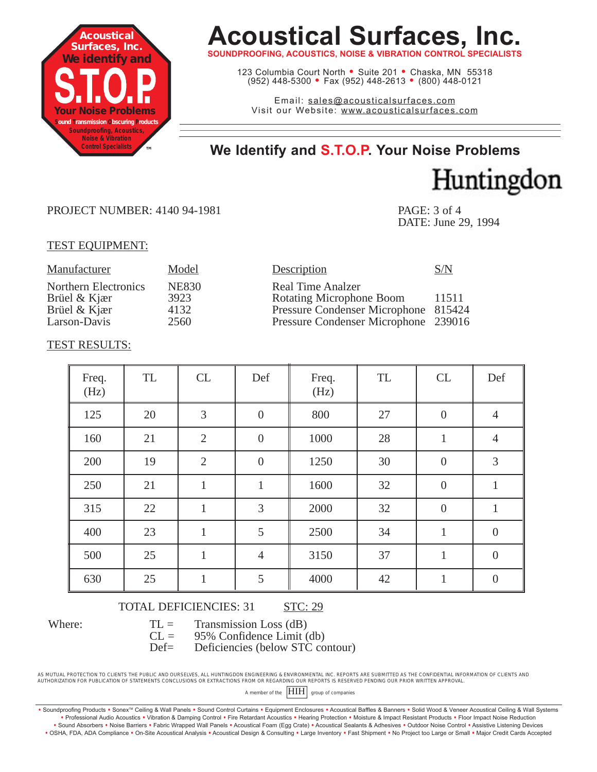

**SOUNDPROOFING, ACOUSTICS, NOISE & VIBRATION CONTROL SF** 

123 Columbia Court North • Suite 201 • Chaska, MN 55318 (952) 448-5300 <sup>=</sup> Fax (952) 448-2613 <sup>=</sup> (800) 448-0121

Email: sales@acousticalsurfaces.com Visit our Website: www.acousticalsurfaces.com

### **™ We Identify and S.T.O.P. Your Noise Problems**

Huntingdon

#### PROJECT NUMBER: 4140 94-1981 PAGE: 3 of 4

DATE: June 29, 1994

#### TEST EQUIPMENT:

| Manufacturer                                                                | Model                                | Description                                                                                                                          | S/N   |
|-----------------------------------------------------------------------------|--------------------------------------|--------------------------------------------------------------------------------------------------------------------------------------|-------|
| <b>Northern Electronics</b><br>Brüel & Kjær<br>Brüel & Kjær<br>Larson-Davis | <b>NE830</b><br>3923<br>4132<br>2560 | Real Time Analzer<br><b>Rotating Microphone Boom</b><br>Pressure Condenser Microphone 815424<br>Pressure Condenser Microphone 239016 | 11511 |
|                                                                             |                                      |                                                                                                                                      |       |

#### TEST RESULTS:

| Freq.<br>(Hz) | TL | CL             | Def              | Freq.<br>(Hz) | TL | CL               | Def              |
|---------------|----|----------------|------------------|---------------|----|------------------|------------------|
| 125           | 20 | 3              | $\boldsymbol{0}$ | 800           | 27 | $\boldsymbol{0}$ | $\overline{4}$   |
| 160           | 21 | $\overline{2}$ | $\boldsymbol{0}$ | 1000          | 28 | $\mathbf{1}$     | $\overline{4}$   |
| 200           | 19 | $\overline{2}$ | $\boldsymbol{0}$ | 1250          | 30 | $\boldsymbol{0}$ | 3                |
| 250           | 21 | $\mathbf{1}$   | $\mathbf{1}$     | 1600          | 32 | $\boldsymbol{0}$ | $\mathbf{1}$     |
| 315           | 22 | $\mathbf{1}$   | 3                | 2000          | 32 | $\boldsymbol{0}$ | $\mathbf{1}$     |
| 400           | 23 | $\mathbf{1}$   | 5                | 2500          | 34 | $\mathbf{1}$     | $\boldsymbol{0}$ |
| 500           | 25 | $\mathbf{1}$   | $\overline{4}$   | 3150          | 37 | $\mathbf{1}$     | $\boldsymbol{0}$ |
| 630           | 25 | $\mathbf{1}$   | 5                | 4000          | 42 | $\mathbf{1}$     | $\overline{0}$   |

Where:

TOTAL DEFICIENCIES: 31 STC: 29

 $TL =$  Transmission Loss (dB)

 $CL = 95\%$  Confidence Limit (db)

Def= Deficiencies (below STC contour)

AS MUTUAL PROTECTION TO CLIENTS THE PUBLIC AND OURSELVES, ALL HUNTINGDON ENGINEERING & ENVIRONMENTAL INC. REPORTS ARE SUBMITTED AS THE CONFIDENTIAL INFORMATION OF CLIENTS AND AUTHORIZATION FOR PUBLICATION OF STATEMENTS CONCLUSIONS OR EXTRACTIONS FROM OR REGARDING OUR REPORTS IS RESERVED PENDING OUR PRIOR WRITTEN APPROVAL.

A member of the  $\boxed{\text{HH}}$  group of companies

· Soundproofing Products · Sonex™ Ceiling & Wall Panels · Sound Control Curtains · Equipment Enclosures · Acoustical Baffles & Banners · Solid Wood & Veneer Acoustical Ceiling & Wall Systems **•** Professional Audio Acoustics **•** Vibration & Damping Control **•** Fire Retardant Acoustics **•** Hearing Protection **•** Moisture & Impact Resistant Products **•** Floor Impact Noise Reduction . Sound Absorbers . Noise Barriers . Fabric Wrapped Wall Panels . Acoustical Foam (Egg Crate) . Acoustical Sealants & Adhesives . Outdoor Noise Control . Assistive Listening Devices . OSHA, FDA, ADA Compliance . On-Site Acoustical Analysis . Acoustical Design & Consulting . Large Inventory . Fast Shipment . No Project too Large or Small . Major Credit Cards Accepted